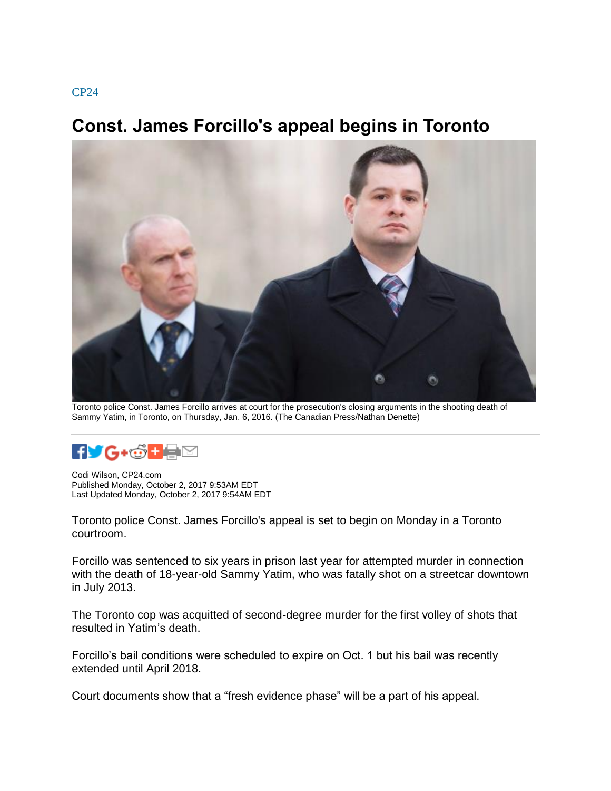## **Const. James Forcillo's appeal begins in Toronto**



Toronto police Const. James Forcillo arrives at court for the prosecution's closing arguments in the shooting death of Sammy Yatim, in Toronto, on Thursday, Jan. 6, 2016. (The Canadian Press/Nathan Denette)



Codi Wilson, CP24.com Published Monday, October 2, 2017 9:53AM EDT Last Updated Monday, October 2, 2017 9:54AM EDT

Toronto police Const. James Forcillo's appeal is set to begin on Monday in a Toronto courtroom.

Forcillo was sentenced to six years in prison last year for attempted murder in connection with the death of 18-year-old Sammy Yatim, who was fatally shot on a streetcar downtown in July 2013.

The Toronto cop was acquitted of second-degree murder for the first volley of shots that resulted in Yatim's death.

Forcillo's bail conditions were scheduled to expire on Oct. 1 but his bail was recently extended until April 2018.

Court documents show that a "fresh evidence phase" will be a part of his appeal.

## [CP24](http://cp24.com/now)